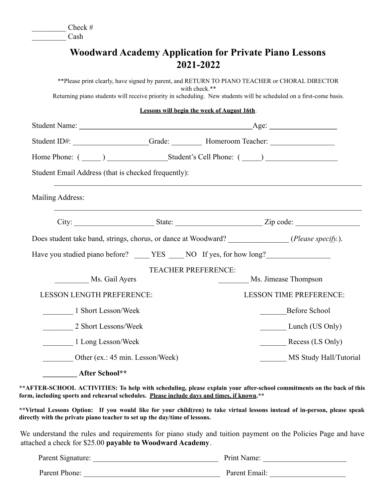$\text{Check} \#$ 

\_\_\_\_\_\_\_\_\_ Cash

## **Woodward Academy Application for Private Piano Lessons 2021-2022**

\*\*Please print clearly, have signed by parent, and RETURN TO PIANO TEACHER or CHORAL DIRECTOR with check.\*\* Returning piano students will receive priority in scheduling. New students will be scheduled on a first-come basis. **Lessons will begin the week of August 16th**. Student Name:  $\qquad \qquad$  Age: Student ID#:  $Grade:$  Homeroom Teacher: Home Phone: (  $\qquad \qquad$  )  $\qquad \qquad$  Student's Cell Phone: (  $\qquad \qquad$  ) Student Email Address (that is checked frequently):  $\mathcal{L}_\mathcal{L} = \{ \mathcal{L}_\mathcal{L} = \{ \mathcal{L}_\mathcal{L} = \{ \mathcal{L}_\mathcal{L} = \{ \mathcal{L}_\mathcal{L} = \{ \mathcal{L}_\mathcal{L} = \{ \mathcal{L}_\mathcal{L} = \{ \mathcal{L}_\mathcal{L} = \{ \mathcal{L}_\mathcal{L} = \{ \mathcal{L}_\mathcal{L} = \{ \mathcal{L}_\mathcal{L} = \{ \mathcal{L}_\mathcal{L} = \{ \mathcal{L}_\mathcal{L} = \{ \mathcal{L}_\mathcal{L} = \{ \mathcal{L}_\mathcal{$ Mailing Address:  $\mathcal{L}_\mathcal{L} = \{ \mathcal{L}_\mathcal{L} = \{ \mathcal{L}_\mathcal{L} = \{ \mathcal{L}_\mathcal{L} = \{ \mathcal{L}_\mathcal{L} = \{ \mathcal{L}_\mathcal{L} = \{ \mathcal{L}_\mathcal{L} = \{ \mathcal{L}_\mathcal{L} = \{ \mathcal{L}_\mathcal{L} = \{ \mathcal{L}_\mathcal{L} = \{ \mathcal{L}_\mathcal{L} = \{ \mathcal{L}_\mathcal{L} = \{ \mathcal{L}_\mathcal{L} = \{ \mathcal{L}_\mathcal{L} = \{ \mathcal{L}_\mathcal{$ City: \_\_\_\_\_\_\_\_\_\_\_\_\_\_\_\_\_\_\_\_\_ State: \_\_\_\_\_\_\_\_\_\_\_\_\_\_\_\_\_\_\_\_\_\_\_ Zip code: \_\_\_\_\_\_\_\_\_\_\_\_\_\_\_\_\_ Does student take band, strings, chorus, or dance at Woodward? (*Please specify.*). Have you studied piano before? <br> \_\_\_\_\_\_ YES \_\_\_\_ NO If yes, for how long? TEACHER PREFERENCE: Ms. Gail Ayers **Ms.** Jimease Thompson LESSON LENGTH PREFERENCE: LESSON TIME PREFERENCE: 1 Short Lesson/Week Before School \_\_\_\_\_\_\_\_ 2 Short Lessons/Week \_\_\_\_\_\_\_ Lunch (US Only) 1 Long Lesson/Week Recess (LS Only) Other (ex.: 45 min. Lesson/Week) MS Study Hall/Tutorial

**\_\_\_\_\_\_\_\_\_ After School\*\***

\*\*AFTER-SCHOOL ACTIVITIES: To help with scheduling, please explain your after-school commitments on the back of this **form, including sports and rehearsal schedules. Please include days and times, if known.\*\***

\*\*Virtual Lessons Option: If you would like for your child(ren) to take virtual lessons instead of in-person, please speak **directly with the private piano teacher to set up the day/time of lessons.**

We understand the rules and requirements for piano study and tuition payment on the Policies Page and have attached a check for \$25.00 **payable to Woodward Academy**.

| Parent Signature: | Print Name:   |
|-------------------|---------------|
| Parent Phone:     | Parent Email: |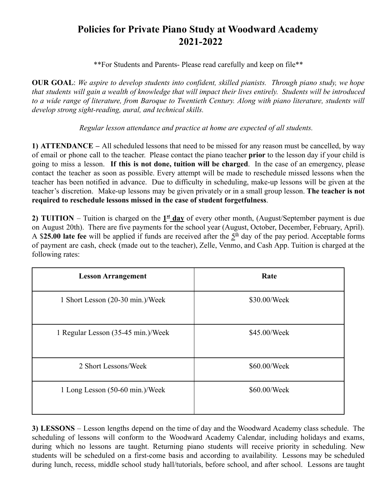## **Policies for Private Piano Study at Woodward Academy 2021-2022**

\*\*For Students and Parents- Please read carefully and keep on file\*\*

**OUR GOAL**: *We aspire to develop students into confident, skilled pianists. Through piano study, we hope* that students will gain a wealth of knowledge that will impact their lives entirely. Students will be introduced to a wide range of literature, from Baroque to Twentieth Century. Along with piano literature, students will *develop strong sight-reading, aural, and technical skills.*

*Regular lesson attendance and practice at home are expected of all students.*

**1) ATTENDANCE –** All scheduled lessons that need to be missed for any reason must be cancelled, by way of email or phone call to the teacher. Please contact the piano teacher **prior** to the lesson day if your child is going to miss a lesson. **If this is not done, tuition will be charged**. In the case of an emergency, please contact the teacher as soon as possible. Every attempt will be made to reschedule missed lessons when the teacher has been notified in advance. Due to difficulty in scheduling, make-up lessons will be given at the teacher's discretion. Make-up lessons may be given privately or in a small group lesson. **The teacher is not required to reschedule lessons missed in the case of student forgetfulness**.

**2) <b>TUITION** – Tuition is charged on the  $1<sup>st</sup>$  day of every other month, (August/September payment is due on August 20th). There are five payments for the school year (August, October, December, February, April). A \$25.00 late fee will be applied if funds are received after the  $5<sup>th</sup>$  day of the pay period. Acceptable forms of payment are cash, check (made out to the teacher), Zelle, Venmo, and Cash App. Tuition is charged at the following rates:

| <b>Lesson Arrangement</b>          | Rate         |
|------------------------------------|--------------|
| 1 Short Lesson (20-30 min.)/Week   | \$30.00/Week |
| 1 Regular Lesson (35-45 min.)/Week | \$45.00/Week |
| 2 Short Lessons/Week               | \$60.00/Week |
| 1 Long Lesson (50-60 min.)/Week    | \$60.00/Week |

**3) LESSONS** – Lesson lengths depend on the time of day and the Woodward Academy class schedule. The scheduling of lessons will conform to the Woodward Academy Calendar, including holidays and exams, during which no lessons are taught. Returning piano students will receive priority in scheduling. New students will be scheduled on a first-come basis and according to availability. Lessons may be scheduled during lunch, recess, middle school study hall/tutorials, before school, and after school. Lessons are taught